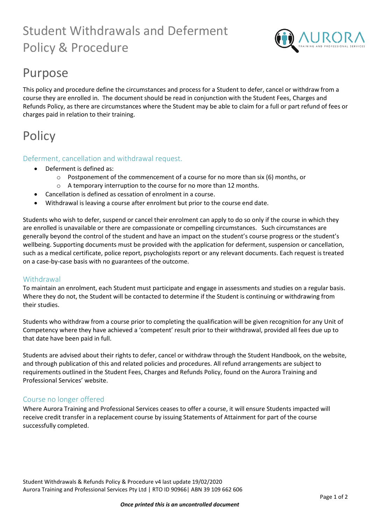# Student Withdrawals and Deferment Policy & Procedure



### Purpose

This policy and procedure define the circumstances and process for a Student to defer, cancel or withdraw from a course they are enrolled in. The document should be read in conjunction with the Student Fees, Charges and Refunds Policy, as there are circumstances where the Student may be able to claim for a full or part refund of fees or charges paid in relation to their training.

## **Policy**

### Deferment, cancellation and withdrawal request.

- Deferment is defined as:
	- o Postponement of the commencement of a course for no more than six (6) months, or
	- o A temporary interruption to the course for no more than 12 months.
	- Cancellation is defined as cessation of enrolment in a course.
- Withdrawal is leaving a course after enrolment but prior to the course end date.

Students who wish to defer, suspend or cancel their enrolment can apply to do so only if the course in which they are enrolled is unavailable or there are compassionate or compelling circumstances. Such circumstances are generally beyond the control of the student and have an impact on the student's course progress or the student's wellbeing. Supporting documents must be provided with the application for deferment, suspension or cancellation, such as a medical certificate, police report, psychologists report or any relevant documents. Each request is treated on a case-by-case basis with no guarantees of the outcome.

### Withdrawal

To maintain an enrolment, each Student must participate and engage in assessments and studies on a regular basis. Where they do not, the Student will be contacted to determine if the Student is continuing or withdrawing from their studies.

Students who withdraw from a course prior to completing the qualification will be given recognition for any Unit of Competency where they have achieved a 'competent' result prior to their withdrawal, provided all fees due up to that date have been paid in full.

Students are advised about their rights to defer, cancel or withdraw through the Student Handbook, on the website, and through publication of this and related policies and procedures. All refund arrangements are subject to requirements outlined in the Student Fees, Charges and Refunds Policy, found on the Aurora Training and Professional Services' website.

### Course no longer offered

Where Aurora Training and Professional Services ceases to offer a course, it will ensure Students impacted will receive credit transfer in a replacement course by issuing Statements of Attainment for part of the course successfully completed.